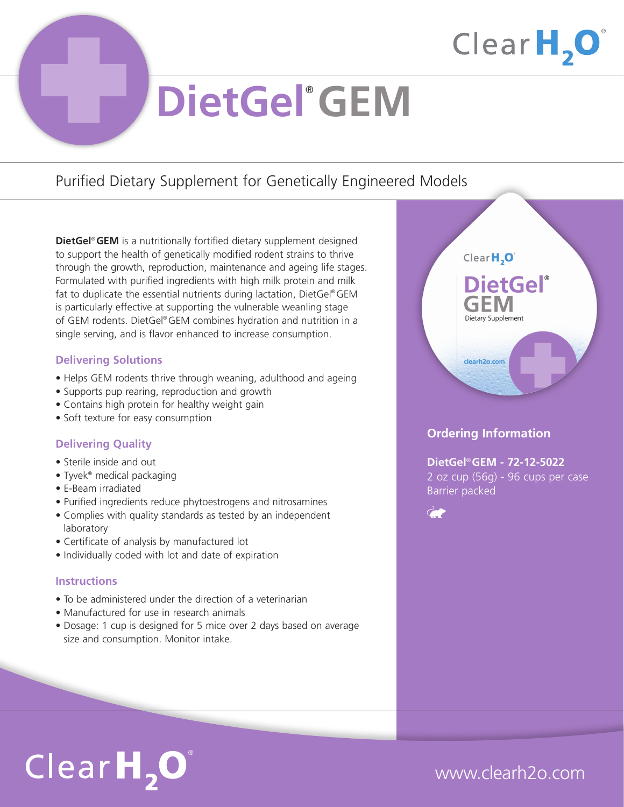

# **DietGel**® **GEM**

### Purified Dietary Supplement for Genetically Engineered Models

**DietGel**® **GEM** is a nutritionally fortified dietary supplement designed to support the health of genetically modified rodent strains to thrive through the growth, reproduction, maintenance and ageing life stages. Formulated with purified ingredients with high milk protein and milk fat to duplicate the essential nutrients during lactation, DietGel® GEM is particularly effective at supporting the vulnerable weanling stage of GEM rodents. DietGel® GEM combines hydration and nutrition in a single serving, and is flavor enhanced to increase consumption.

### **Delivering Solutions**

- Helps GEM rodents thrive through weaning, adulthood and ageing
- Supports pup rearing, reproduction and growth
- Contains high protein for healthy weight gain
- Soft texture for easy consumption

### **Delivering Quality**

- Sterile inside and out
- Tyvek® medical packaging
- E-Beam irradiated
- Purified ingredients reduce phytoestrogens and nitrosamines
- Complies with quality standards as tested by an independent laboratory
- Certificate of analysis by manufactured lot
- Individually coded with lot and date of expiration

#### **Instructions**

- To be administered under the direction of a veterinarian
- Manufactured for use in research animals
- Dosage: 1 cup is designed for 5 mice over 2 days based on average size and consumption. Monitor intake.



### **Ordering Information**

**DietGel**® **GEM - 72-12-5022** 2 oz cup (56g) - 96 cups per case Barrier packed



# $ClearH, O^*$

## www.clearh2o.com